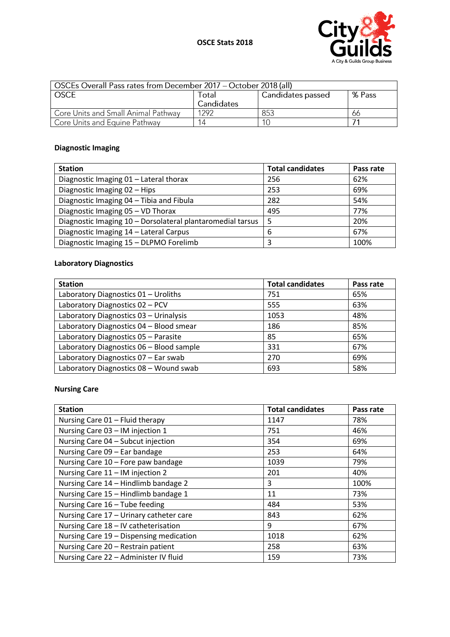

| OSCEs Overall Pass rates from December 2017 – October 2018 (all) |            |                   |        |
|------------------------------------------------------------------|------------|-------------------|--------|
| <b>OSCE</b>                                                      | Total      | Candidates passed | % Pass |
|                                                                  | Candidates |                   |        |
| Core Units and Small Animal Pathway                              | 1292       | 853               | 66     |
| Core Units and Equine Pathway                                    |            |                   |        |

# **Diagnostic Imaging**

| <b>Station</b>                                             | <b>Total candidates</b> | Pass rate |
|------------------------------------------------------------|-------------------------|-----------|
| Diagnostic Imaging 01 - Lateral thorax                     | 256                     | 62%       |
| Diagnostic Imaging 02 - Hips                               | 253                     | 69%       |
| Diagnostic Imaging 04 - Tibia and Fibula                   | 282                     | 54%       |
| Diagnostic Imaging 05 - VD Thorax                          | 495                     | 77%       |
| Diagnostic Imaging 10 - Dorsolateral plantaromedial tarsus | 5                       | 20%       |
| Diagnostic Imaging 14 - Lateral Carpus                     | 6                       | 67%       |
| Diagnostic Imaging 15 - DLPMO Forelimb                     | 3                       | 100%      |

# **Laboratory Diagnostics**

| <b>Station</b>                           | <b>Total candidates</b> | Pass rate |
|------------------------------------------|-------------------------|-----------|
| Laboratory Diagnostics 01 - Uroliths     | 751                     | 65%       |
| Laboratory Diagnostics 02 - PCV          | 555                     | 63%       |
| Laboratory Diagnostics 03 - Urinalysis   | 1053                    | 48%       |
| Laboratory Diagnostics 04 - Blood smear  | 186                     | 85%       |
| Laboratory Diagnostics 05 - Parasite     | 85                      | 65%       |
| Laboratory Diagnostics 06 - Blood sample | 331                     | 67%       |
| Laboratory Diagnostics 07 - Ear swab     | 270                     | 69%       |
| Laboratory Diagnostics 08 - Wound swab   | 693                     | 58%       |

# **Nursing Care**

| <b>Station</b>                          | <b>Total candidates</b> | Pass rate |
|-----------------------------------------|-------------------------|-----------|
| Nursing Care 01 - Fluid therapy         | 1147                    | 78%       |
| Nursing Care 03 - IM injection 1        | 751                     | 46%       |
| Nursing Care 04 - Subcut injection      | 354                     | 69%       |
| Nursing Care 09 - Ear bandage           | 253                     | 64%       |
| Nursing Care 10 - Fore paw bandage      | 1039                    | 79%       |
| Nursing Care 11 - IM injection 2        | 201                     | 40%       |
| Nursing Care 14 - Hindlimb bandage 2    | 3                       | 100%      |
| Nursing Care 15 - Hindlimb bandage 1    | 11                      | 73%       |
| Nursing Care 16 - Tube feeding          | 484                     | 53%       |
| Nursing Care 17 - Urinary catheter care | 843                     | 62%       |
| Nursing Care 18 - IV catheterisation    | 9                       | 67%       |
| Nursing Care 19 - Dispensing medication | 1018                    | 62%       |
| Nursing Care 20 - Restrain patient      | 258                     | 63%       |
| Nursing Care 22 - Administer IV fluid   | 159                     | 73%       |